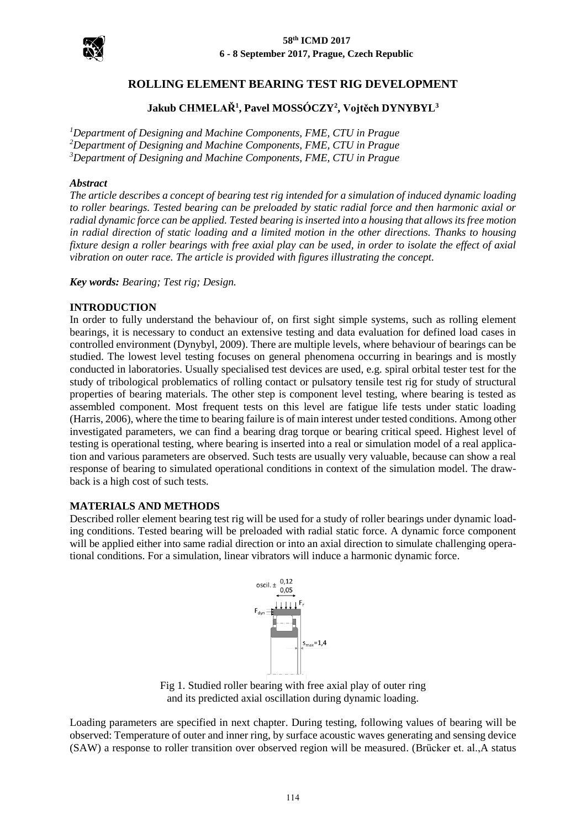

#### **58th ICMD 2017 6 - 8 September 2017, Prague, Czech Republic**

# **ROLLING ELEMENT BEARING TEST RIG DEVELOPMENT**

# **Jakub CHMELAŘ<sup>1</sup> , Pavel MOSSÓCZY<sup>2</sup> , Vojtěch DYNYBYL<sup>3</sup>**

*<sup>1</sup>Department of Designing and Machine Components, FME, CTU in Prague <sup>2</sup>Department of Designing and Machine Components, FME, CTU in Prague <sup>3</sup>Department of Designing and Machine Components, FME, CTU in Prague*

### *Abstract*

*The article describes a concept of bearing test rig intended for a simulation of induced dynamic loading to roller bearings. Tested bearing can be preloaded by static radial force and then harmonic axial or radial dynamic force can be applied. Tested bearing is inserted into a housing that allows its free motion in radial direction of static loading and a limited motion in the other directions. Thanks to housing fixture design a roller bearings with free axial play can be used, in order to isolate the effect of axial vibration on outer race. The article is provided with figures illustrating the concept.*

*Key words: Bearing; Test rig; Design.*

### **INTRODUCTION**

In order to fully understand the behaviour of, on first sight simple systems, such as rolling element bearings, it is necessary to conduct an extensive testing and data evaluation for defined load cases in controlled environment (Dynybyl, 2009). There are multiple levels, where behaviour of bearings can be studied. The lowest level testing focuses on general phenomena occurring in bearings and is mostly conducted in laboratories. Usually specialised test devices are used, e.g. spiral orbital tester test for the study of tribological problematics of rolling contact or pulsatory tensile test rig for study of structural properties of bearing materials. The other step is component level testing, where bearing is tested as assembled component. Most frequent tests on this level are fatigue life tests under static loading (Harris, 2006), where the time to bearing failure is of main interest under tested conditions. Among other investigated parameters, we can find a bearing drag torque or bearing critical speed. Highest level of testing is operational testing, where bearing is inserted into a real or simulation model of a real application and various parameters are observed. Such tests are usually very valuable, because can show a real response of bearing to simulated operational conditions in context of the simulation model. The drawback is a high cost of such tests.

### **MATERIALS AND METHODS**

Described roller element bearing test rig will be used for a study of roller bearings under dynamic loading conditions. Tested bearing will be preloaded with radial static force. A dynamic force component will be applied either into same radial direction or into an axial direction to simulate challenging operational conditions. For a simulation, linear vibrators will induce a harmonic dynamic force.



Fig 1. Studied roller bearing with free axial play of outer ring and its predicted axial oscillation during dynamic loading.

Loading parameters are specified in next chapter. During testing, following values of bearing will be observed: Temperature of outer and inner ring, by surface acoustic waves generating and sensing device (SAW) a response to roller transition over observed region will be measured. (Brücker et. al.,A status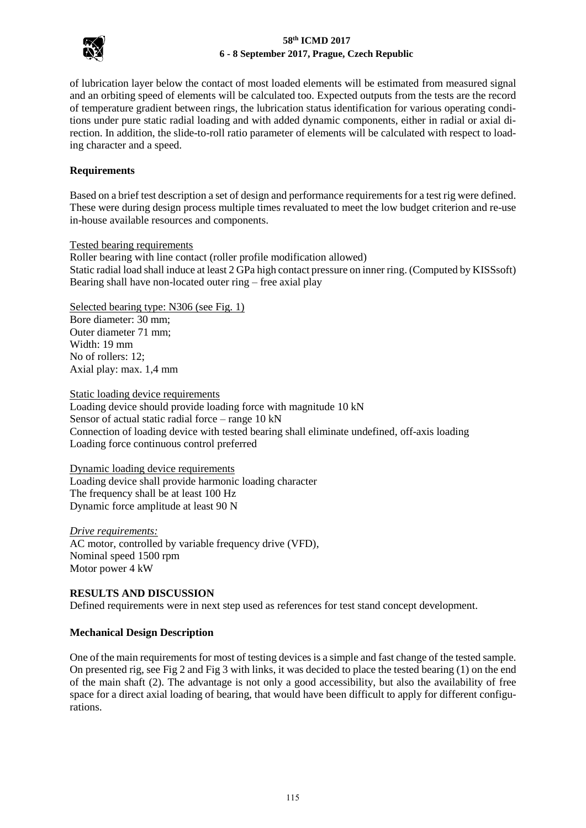

### **58th ICMD 2017 6 - 8 September 2017, Prague, Czech Republic**

of lubrication layer below the contact of most loaded elements will be estimated from measured signal and an orbiting speed of elements will be calculated too. Expected outputs from the tests are the record of temperature gradient between rings, the lubrication status identification for various operating conditions under pure static radial loading and with added dynamic components, either in radial or axial direction. In addition, the slide-to-roll ratio parameter of elements will be calculated with respect to loading character and a speed.

## **Requirements**

Based on a brief test description a set of design and performance requirements for a test rig were defined. These were during design process multiple times revaluated to meet the low budget criterion and re-use in-house available resources and components.

#### Tested bearing requirements

Roller bearing with line contact (roller profile modification allowed) Static radial load shall induce at least 2 GPa high contact pressure on inner ring. (Computed by KISSsoft) Bearing shall have non-located outer ring – free axial play

Selected bearing type: N306 (see Fig. 1)

Bore diameter: 30 mm; Outer diameter 71 mm; Width: 19 mm No of rollers: 12; Axial play: max. 1,4 mm

Static loading device requirements

Loading device should provide loading force with magnitude 10 kN Sensor of actual static radial force – range 10 kN Connection of loading device with tested bearing shall eliminate undefined, off-axis loading Loading force continuous control preferred

Dynamic loading device requirements Loading device shall provide harmonic loading character The frequency shall be at least 100 Hz Dynamic force amplitude at least 90 N

*Drive requirements:* AC motor, controlled by variable frequency drive (VFD), Nominal speed 1500 rpm Motor power 4 kW

### **RESULTS AND DISCUSSION**

Defined requirements were in next step used as references for test stand concept development.

### **Mechanical Design Description**

One of the main requirements for most of testing devices is a simple and fast change of the tested sample. On presented rig, see Fig 2 and Fig 3 with links, it was decided to place the tested bearing (1) on the end of the main shaft (2). The advantage is not only a good accessibility, but also the availability of free space for a direct axial loading of bearing, that would have been difficult to apply for different configurations.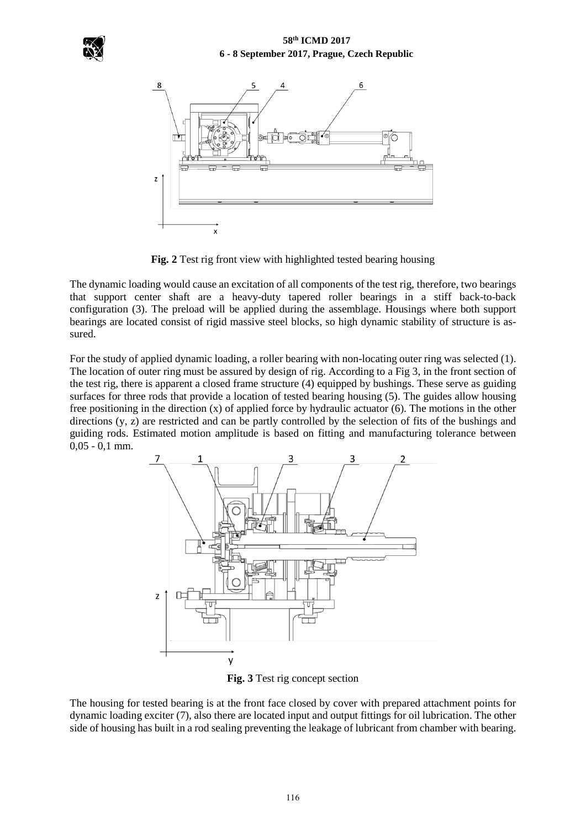





**Fig. 2** Test rig front view with highlighted tested bearing housing

The dynamic loading would cause an excitation of all components of the test rig, therefore, two bearings that support center shaft are a heavy-duty tapered roller bearings in a stiff back-to-back configuration (3). The preload will be applied during the assemblage. Housings where both support bearings are located consist of rigid massive steel blocks, so high dynamic stability of structure is assured.

For the study of applied dynamic loading, a roller bearing with non-locating outer ring was selected (1). The location of outer ring must be assured by design of rig. According to a Fig 3, in the front section of the test rig, there is apparent a closed frame structure (4) equipped by bushings. These serve as guiding surfaces for three rods that provide a location of tested bearing housing (5). The guides allow housing free positioning in the direction (x) of applied force by hydraulic actuator (6). The motions in the other directions (y, z) are restricted and can be partly controlled by the selection of fits of the bushings and guiding rods. Estimated motion amplitude is based on fitting and manufacturing tolerance between 0,05 - 0,1 mm.



**Fig. 3** Test rig concept section

The housing for tested bearing is at the front face closed by cover with prepared attachment points for dynamic loading exciter (7), also there are located input and output fittings for oil lubrication. The other side of housing has built in a rod sealing preventing the leakage of lubricant from chamber with bearing.